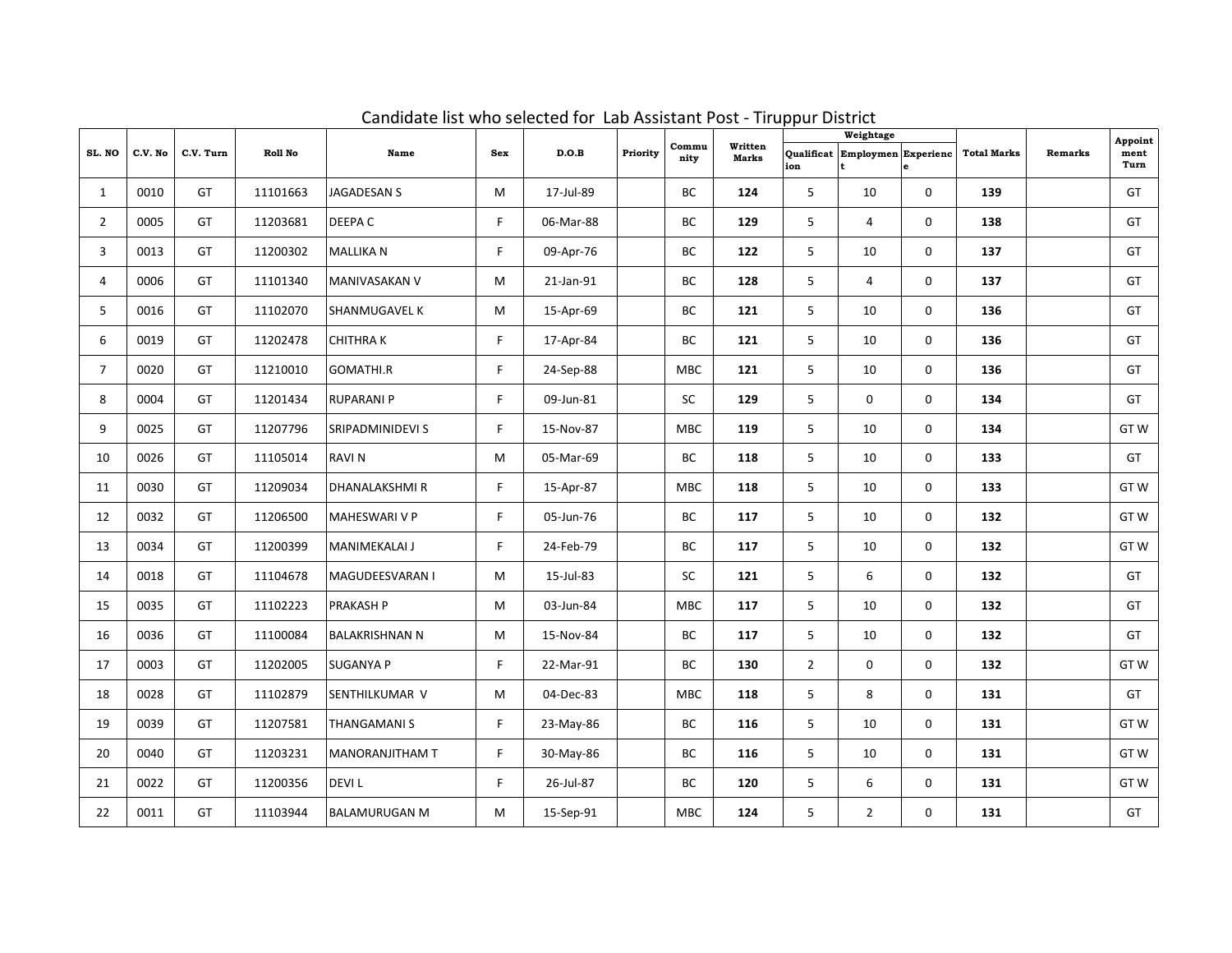|                |         |           |                |                         |            |           |          |               |                         | . .             | Weightage                      |                |                    |                | Appoint      |
|----------------|---------|-----------|----------------|-------------------------|------------|-----------|----------|---------------|-------------------------|-----------------|--------------------------------|----------------|--------------------|----------------|--------------|
| SL. NO         | C.V. No | C.V. Turn | <b>Roll No</b> | <b>Name</b>             | <b>Sex</b> | D.O.B     | Priority | Commu<br>nity | Written<br><b>Marks</b> | ion             | Qualificat Employmen Experienc |                | <b>Total Marks</b> | <b>Remarks</b> | ment<br>Turn |
| $\mathbf{1}$   | 0010    | GT        | 11101663       | JAGADESAN S             | M          | 17-Jul-89 |          | <b>BC</b>     | 124                     | 5 <sup>5</sup>  | 10                             | $\mathbf 0$    | 139                |                | GT           |
| $\overline{2}$ | 0005    | GT        | 11203681       | DEEPA C                 | F.         | 06-Mar-88 |          | <b>BC</b>     | 129                     | 5 <sup>5</sup>  | $\overline{4}$                 | $\overline{0}$ | 138                |                | GT           |
| $\mathbf{3}$   | 0013    | GT        | 11200302       | <b>MALLIKAN</b>         | F          | 09-Apr-76 |          | <b>BC</b>     | 122                     | 5 <sup>5</sup>  | 10                             | $\mathbf{0}$   | 137                |                | GT           |
| 4              | 0006    | GT        | 11101340       | <b>MANIVASAKAN V</b>    | M          | 21-Jan-91 |          | <b>BC</b>     | 128                     | 5 <sup>5</sup>  | $\overline{4}$                 | $\overline{0}$ | 137                |                | GT           |
| 5              | 0016    | GT        | 11102070       | <b>SHANMUGAVEL K</b>    | M          | 15-Apr-69 |          | <b>BC</b>     | 121                     | 5 <sup>5</sup>  | 10                             | $\overline{0}$ | 136                |                | GT           |
| 6              | 0019    | <b>GT</b> | 11202478       | CHITHRA K               | F          | 17-Apr-84 |          | <b>BC</b>     | 121                     | 5 <sup>5</sup>  | 10                             | $\overline{0}$ | 136                |                | GT           |
| $\overline{7}$ | 0020    | GT        | 11210010       | GOMATHI.R               | F          | 24-Sep-88 |          | <b>MBC</b>    | 121                     | 5 <sup>5</sup>  | 10                             | $\overline{0}$ | 136                |                | GT           |
| 8              | 0004    | <b>GT</b> | 11201434       | <b>RUPARANI P</b>       | F.         | 09-Jun-81 |          | SC            | 129                     | 5 <sup>5</sup>  | $\overline{0}$                 | $\overline{0}$ | 134                |                | <b>GT</b>    |
| 9              | 0025    | GT        | 11207796       | <b>SRIPADMINIDEVI S</b> | F          | 15-Nov-87 |          | <b>MBC</b>    | 119                     | 5 <sup>1</sup>  | 10                             | $\overline{0}$ | 134                |                | GTW          |
| 10             | 0026    | GT        | 11105014       | RAVI N                  | M          | 05-Mar-69 |          | <b>BC</b>     | 118                     | 5 <sup>1</sup>  | 10                             | $\mathbf 0$    | 133                |                | GT           |
| 11             | 0030    | GT        | 11209034       | <b>DHANALAKSHMIR</b>    | F.         | 15-Apr-87 |          | <b>MBC</b>    | 118                     | 5 <sup>1</sup>  | 10                             | $\overline{0}$ | 133                |                | GTW          |
| 12             | 0032    | GT        | 11206500       | MAHESWARI V P           | F.         | 05-Jun-76 |          | <b>BC</b>     | 117                     | $5\overline{)}$ | 10                             | $\overline{0}$ | 132                |                | GTW          |
| 13             | 0034    | GT        | 11200399       | MANIMEKALAI J           | H.         | 24-Feb-79 |          | <b>BC</b>     | 117                     | 5               | 10                             | $\overline{0}$ | 132                |                | GTW          |
| 14             | 0018    | GT        | 11104678       | MAGUDEESVARAN I         | M          | 15-Jul-83 |          | <b>SC</b>     | 121                     | $5\phantom{.}$  | 6                              | $\mathbf 0$    | 132                |                | GT           |
| 15             | 0035    | GT        | 11102223       | <b>PRAKASH P</b>        | M          | 03-Jun-84 |          | <b>MBC</b>    | 117                     | 5 <sup>5</sup>  | 10                             | $\overline{0}$ | 132                |                | GT           |
| 16             | 0036    | GT        | 11100084       | BALAKRISHNAN N          | M          | 15-Nov-84 |          | <b>BC</b>     | 117                     | 5 <sup>5</sup>  | 10                             | $\overline{0}$ | 132                |                | GT           |
| 17             | 0003    | GT        | 11202005       | <b>SUGANYA P</b>        | F.         | 22-Mar-91 |          | <b>BC</b>     | 130                     | $\overline{2}$  | $\overline{0}$                 | $\mathbf 0$    | 132                |                | GT W         |
| 18             | 0028    | GT        | 11102879       | SENTHILKUMAR V          | M          | 04-Dec-83 |          | <b>MBC</b>    | 118                     | 5 <sup>5</sup>  | 8                              | $\overline{0}$ | 131                |                | GT           |
| 19             | 0039    | GT        | 11207581       | <b>THANGAMANIS</b>      | F          | 23-May-86 |          | <b>BC</b>     | 116                     | 5 <sub>1</sub>  | 10                             | $\overline{0}$ | 131                |                | GTW          |
| 20             | 0040    | GT        | 11203231       | <b>MANORANJITHAM T</b>  | F.         | 30-May-86 |          | <b>BC</b>     | 116                     | 5 <sup>1</sup>  | 10                             | $\overline{0}$ | 131                |                | GTW          |
| 21             | 0022    | GT        | 11200356       | <b>DEVIL</b>            | F.         | 26-Jul-87 |          | <b>BC</b>     | 120                     | 5 <sup>5</sup>  | 6                              | $\overline{0}$ | 131                |                | GTW          |
| 22             | 0011    | GT        | 11103944       | <b>BALAMURUGAN M</b>    | M          | 15-Sep-91 |          | <b>MBC</b>    | 124                     | 5 <sub>5</sub>  | $\overline{2}$                 | $\mathbf 0$    | 131                |                | GT           |

Candidate list who selected for Lab Assistant Post - Tiruppur District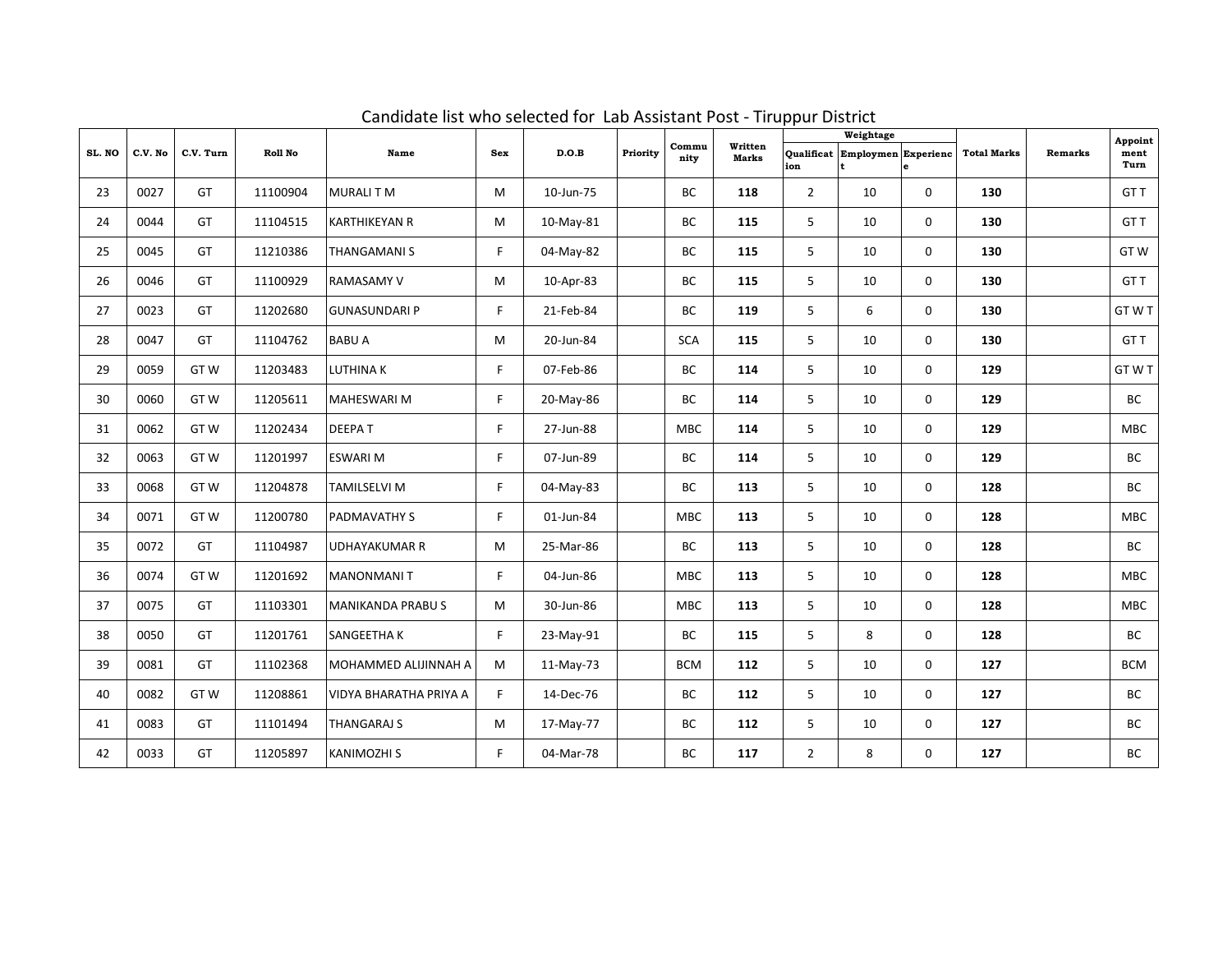|        |         |           |                |                             |            |           |          |               |                         | .               | Weightage                      |                |                    |                | Appoint      |
|--------|---------|-----------|----------------|-----------------------------|------------|-----------|----------|---------------|-------------------------|-----------------|--------------------------------|----------------|--------------------|----------------|--------------|
| SL. NO | C.V. No | C.V. Turn | <b>Roll No</b> | <b>Name</b>                 | <b>Sex</b> | D.O.B     | Priority | Commu<br>nity | Written<br><b>Marks</b> | ion             | Qualificat Employmen Experienc |                | <b>Total Marks</b> | <b>Remarks</b> | ment<br>Turn |
| 23     | 0027    | GT        | 11100904       | <b>MURALITM</b>             | M          | 10-Jun-75 |          | <b>BC</b>     | 118                     | $\overline{2}$  | 10                             | $\overline{0}$ | 130                |                | <b>GTT</b>   |
| 24     | 0044    | GT        | 11104515       | <b>KARTHIKEYAN R</b>        | M          | 10-May-81 |          | <b>BC</b>     | 115                     | 5 <sup>1</sup>  | 10                             | $\mathbf 0$    | 130                |                | <b>GTT</b>   |
| 25     | 0045    | GT        | 11210386       | <b>THANGAMANIS</b>          | F          | 04-May-82 |          | <b>BC</b>     | 115                     | 5 <sup>5</sup>  | 10                             | $\mathbf{0}$   | 130                |                | GTW          |
| 26     | 0046    | GT        | 11100929       | <b>RAMASAMY V</b>           | M          | 10-Apr-83 |          | <b>BC</b>     | 115                     | 5 <sup>1</sup>  | 10                             | $\overline{0}$ | 130                |                | GT T         |
| 27     | 0023    | GT        | 11202680       | <b>GUNASUNDARI P</b>        | F.         | 21-Feb-84 |          | <b>BC</b>     | 119                     | 5 <sup>5</sup>  | 6                              | $\mathbf 0$    | 130                |                | GTWT         |
| 28     | 0047    | GT        | 11104762       | <b>BABU A</b>               | M          | 20-Jun-84 |          | <b>SCA</b>    | 115                     | 5 <sup>5</sup>  | 10                             | $\overline{0}$ | 130                |                | <b>GTT</b>   |
| 29     | 0059    | GTW       | 11203483       | <b>LUTHINAK</b>             | F.         | 07-Feb-86 |          | <b>BC</b>     | 114                     | 5 <sup>5</sup>  | 10                             | $\overline{0}$ | 129                |                | GTWT         |
| 30     | 0060    | GTW       | 11205611       | MAHESWARI M                 | F.         | 20-May-86 |          | <b>BC</b>     | 114                     | 5 <sup>1</sup>  | 10                             | $\mathbf{0}$   | 129                |                | <b>BC</b>    |
| 31     | 0062    | GTW       | 11202434       | <b>DEEPAT</b>               | F.         | 27-Jun-88 |          | <b>MBC</b>    | 114                     | 5 <sup>5</sup>  | 10                             | $\overline{0}$ | 129                |                | <b>MBC</b>   |
| 32     | 0063    | GTW       | 11201997       | <b>ESWARI M</b>             | F.         | 07-Jun-89 |          | <b>BC</b>     | 114                     | 5 <sup>1</sup>  | 10                             | $\overline{0}$ | 129                |                | <b>BC</b>    |
| 33     | 0068    | GTW       | 11204878       | <b>TAMILSELVI M</b>         | F.         | 04-May-83 |          | <b>BC</b>     | 113                     | 5 <sup>1</sup>  | 10                             | $\overline{0}$ | 128                |                | <b>BC</b>    |
| 34     | 0071    | GTW       | 11200780       | <b>PADMAVATHY S</b>         | F.         | 01-Jun-84 |          | <b>MBC</b>    | 113                     | $5\overline{)}$ | 10                             | $\overline{0}$ | 128                |                | <b>MBC</b>   |
| 35     | 0072    | GT        | 11104987       | <b>UDHAYAKUMAR R</b>        | M          | 25-Mar-86 |          | <b>BC</b>     | 113                     | 5               | 10                             | $\overline{0}$ | 128                |                | <b>BC</b>    |
| 36     | 0074    | GTW       | 11201692       | MANONMANI T                 | F.         | 04-Jun-86 |          | <b>MBC</b>    | 113                     | 5 <sup>5</sup>  | 10                             | $\mathbf 0$    | 128                |                | MBC          |
| 37     | 0075    | GT        | 11103301       | <b>MANIKANDA PRABUS</b>     | M          | 30-Jun-86 |          | <b>MBC</b>    | 113                     | 5 <sup>5</sup>  | 10                             | $\overline{0}$ | 128                |                | <b>MBC</b>   |
| 38     | 0050    | GT        | 11201761       | <b>SANGEETHA K</b>          | F          | 23-May-91 |          | <b>BC</b>     | 115                     | $5\overline{)}$ | 8                              | $\overline{0}$ | 128                |                | <b>BC</b>    |
| 39     | 0081    | GT        | 11102368       | <b>MOHAMMED ALIJINNAH A</b> | M          | 11-May-73 |          | <b>BCM</b>    | 112                     | 5 <sup>5</sup>  | 10                             | $\mathbf 0$    | 127                |                | <b>BCM</b>   |
| 40     | 0082    | GTW       | 11208861       | VIDYA BHARATHA PRIYA A      | F          | 14-Dec-76 |          | <b>BC</b>     | 112                     | 5 <sup>5</sup>  | 10                             | $\overline{0}$ | 127                |                | <b>BC</b>    |
| 41     | 0083    | GT        | 11101494       | <b>THANGARAJ S</b>          | M          | 17-May-77 |          | <b>BC</b>     | 112                     | 5 <sub>1</sub>  | 10                             | $\overline{0}$ | 127                |                | <b>BC</b>    |
| 42     | 0033    | GT        | 11205897       | <b>KANIMOZHI S</b>          | F.         | 04-Mar-78 |          | BC            | 117                     | $\overline{2}$  | 8                              | $\overline{0}$ | 127                |                | BC           |

Candidate list who selected for Lab Assistant Post - Tiruppur District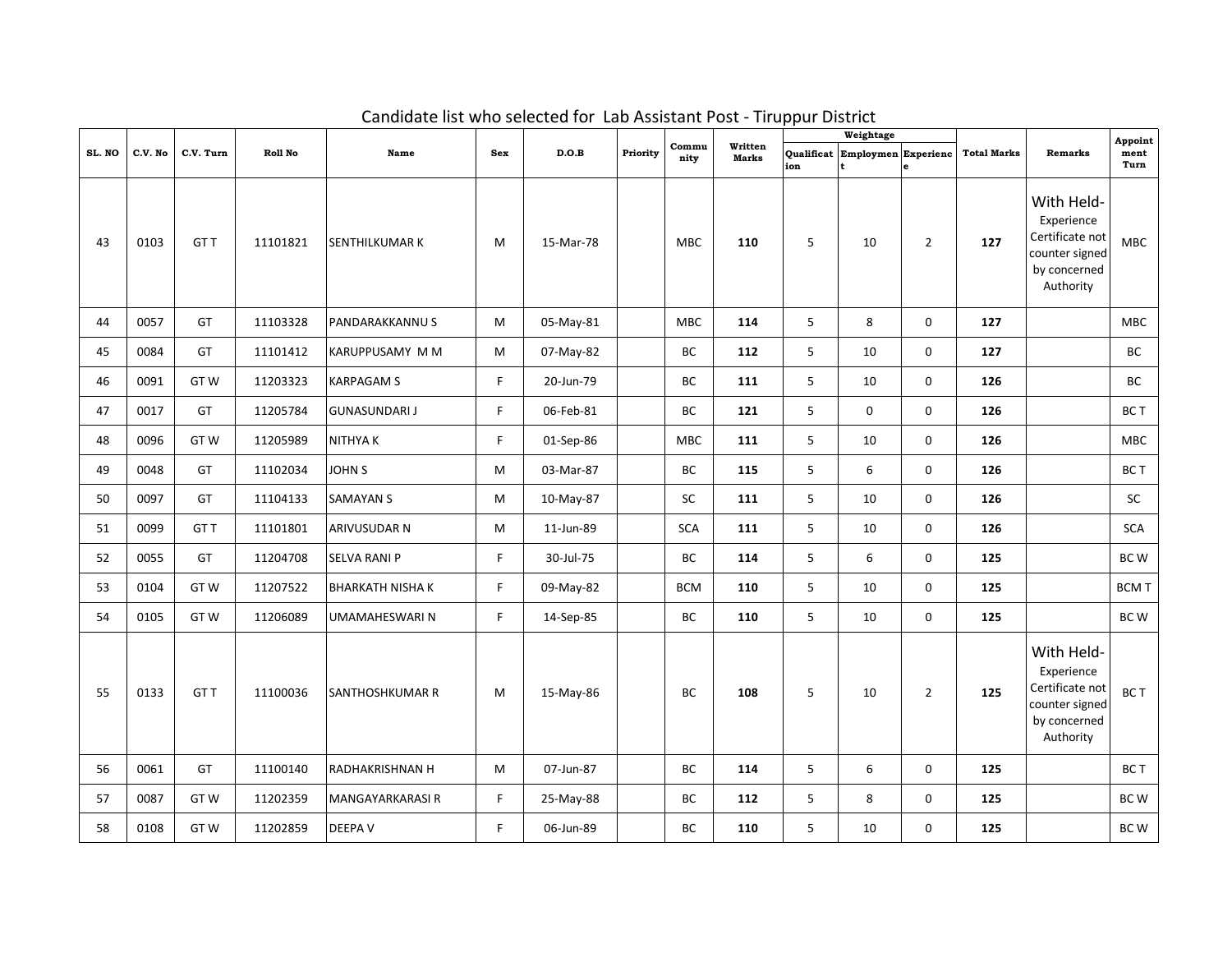**Qualificat ion** 43 | 0103 | GTT | 11101821 |SENTHILKUMAR K | M | 15-Mar-78 | | MBC | **110** | 5 | 10 | 2 | **127** 44 | 0057 | GT | 11103328 |PANDARAKKANNU S | M | 05-May-81 | | MBC | **114** | 5 | 8 | 0 | **127** | | MBC 45 | 0084 | GT | 11101412 |KARUPPUSAMY M M | M | 07-May-82 | | BC | **112** | 5 | 10 | 0 | **127** | | BC 46 0091 GT W 11203323 KARPAGAM S F 20-Jun-79 BC **111** 5 10 0 **126** BC 47 | 0017 | GT | 11205784 |GUNASUNDARIJ | F | 06-Feb-81 | BC | **121** | 5 | 0 | 0 | **126** | | BCT 48 | 0096 | GTW | 11205989 |NITHYAK | F | 01-Sep-86 | | MBC | 111 | 5 | 10 | 0 | 1**26** | | MBC 49 | 0048 | GT | 11102034 |JOHN S | M | 03-Mar-87 | | BC | **115** | 5 | 6 | 0 | **126** | | BCT 50 | 0097 | GT | 11104133 |SAMAYAN S | M | 10-May-87 | | SC | 111 | 5 | 10 | 0 | 1**26** | | SC 51 | 0099 | GTT | 11101801 |ARIVUSUDARN | M | 11-Jun-89 | | SCA | **111** | 5 | 10 | 0 | **126** | | SCA 52 | 0055 | GT | 11204708 |SELVA RANI P | F | 30-Jul-75 | | BC | 114 | 5 | 6 | 0 | 125 | | BC W 53 | 0104 | GTW | 11207522 |BHARKATH NISHA K | F | 09-May-82 | | BCM | 1**10** | 5 | 10 | 0 | **125** | |BCM T 54 | 0105 | GTW | 11206089 |UMAMAHESWARIN | F | 14-Sep-85 | | BC | 1**10** | 5 | 10 | 0 | **125** | | BCW 55 | 0133 | GTT | 11100036 | SANTHOSHKUMAR R | M | 15-May-86 | | | BC | 108 | 5 56 | 0061 | GT | 11100140 |RADHAKRISHNAN H | M | 07-Jun-87 | BC | **114** | 5 | 6 | 0 | **125** | | BCT 57 | 0087 | GTW | 11202359 |MANGAYARKARASI R | F | 25-May-88 | | BC | **112** | 5 | 8 | 0 | **125** | | BC W 58 | 0108 | GTW | 11202859 |DEEPA<code>V | F | 06-Jun-89 | | BC | 110 | 5 | 10 | 0 | 125 | | | | | BCW</code> **SL. NO C.V. No C.V. Turn Roll No Name Sex D.O.B Priority Commu nity Written Marks**

| Weightage      |                       |                    |                                                                                            | Appoint      |
|----------------|-----------------------|--------------------|--------------------------------------------------------------------------------------------|--------------|
| Employmen<br>t | <b>Experienc</b><br>e | <b>Total Marks</b> | <b>Remarks</b>                                                                             | ment<br>Turn |
| 10             | $\overline{2}$        | 127                | With Held-<br>Experience<br>Certificate not<br>counter signed<br>by concerned<br>Authority | <b>MBC</b>   |
| 8              | 0                     | 127                |                                                                                            | <b>MBC</b>   |
| 10             | 0                     | 127                |                                                                                            | <b>BC</b>    |
| 10             | 0                     | 126                |                                                                                            | <b>BC</b>    |
| 0              | 0                     | 126                |                                                                                            | <b>BCT</b>   |
| 10             | 0                     | 126                |                                                                                            | <b>MBC</b>   |
| 6              | 0                     | 126                |                                                                                            | <b>BCT</b>   |
| 10             | 0                     | 126                |                                                                                            | <b>SC</b>    |
| 10             | 0                     | 126                |                                                                                            | <b>SCA</b>   |
| 6              | 0                     | 125                |                                                                                            | <b>BCW</b>   |
| 10             | 0                     | 125                |                                                                                            | <b>BCMT</b>  |
| 10             | 0                     | 125                |                                                                                            | BC W         |
| 10             | $\overline{2}$        | 125                | With Held-<br>Experience<br>Certificate not<br>counter signed<br>by concerned<br>Authority | <b>BCT</b>   |
| 6              | $\overline{0}$        | 125                |                                                                                            | <b>BCT</b>   |
| 8              | 0                     | 125                |                                                                                            | BC W         |
| 10             | 0                     | 125                |                                                                                            | BC W         |

Candidate list who selected for Lab Assistant Post - Tiruppur District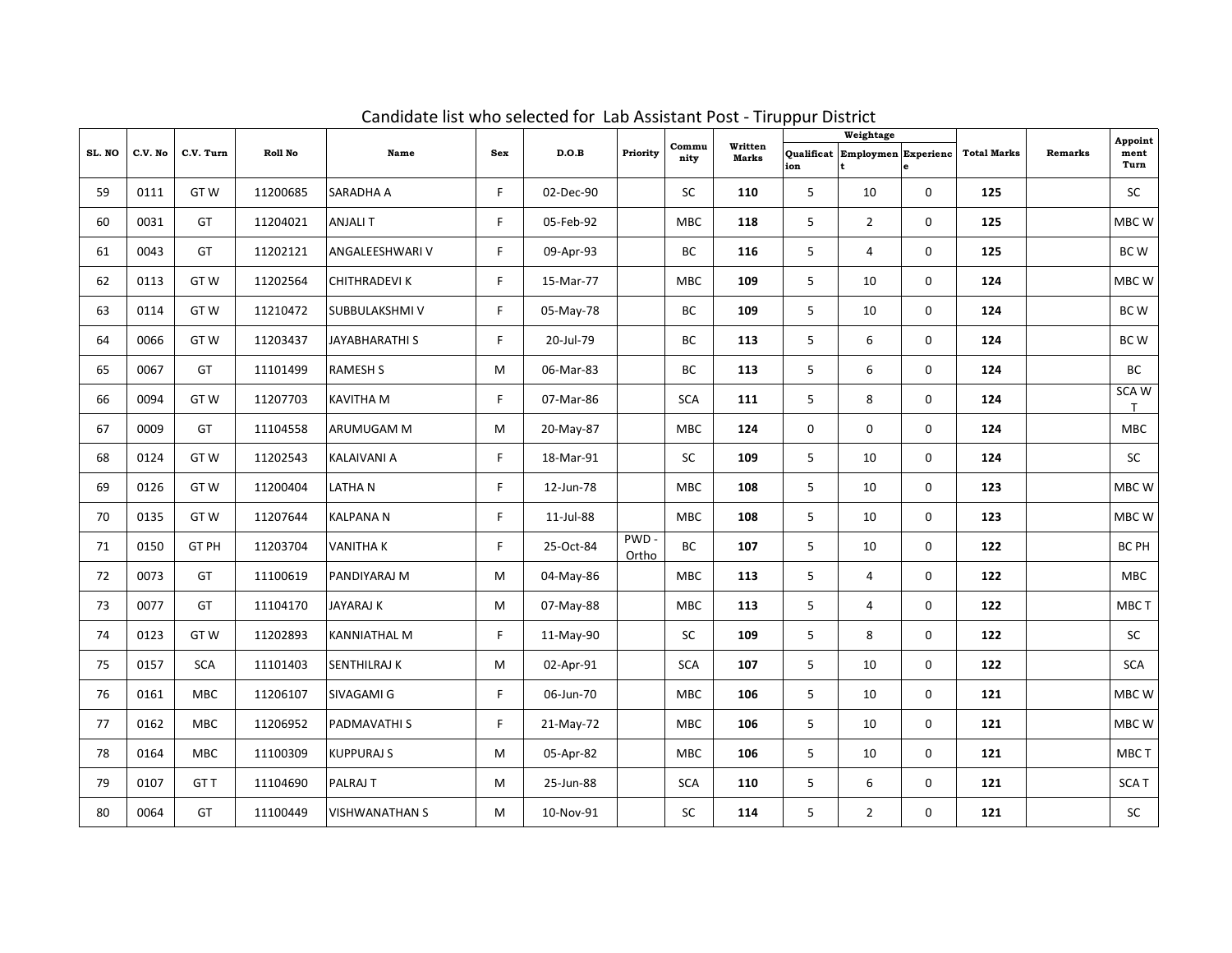|        |         |            |                |                        |            |           |                |               |                         | . .             | Weightage                      |                |                    |                | Appoint      |
|--------|---------|------------|----------------|------------------------|------------|-----------|----------------|---------------|-------------------------|-----------------|--------------------------------|----------------|--------------------|----------------|--------------|
| SL. NO | C.V. No | C.V. Turn  | <b>Roll No</b> | <b>Name</b>            | <b>Sex</b> | D.O.B     | Priority       | Commu<br>nity | Written<br><b>Marks</b> | ion             | Qualificat Employmen Experienc |                | <b>Total Marks</b> | <b>Remarks</b> | ment<br>Turn |
| 59     | 0111    | GTW        | 11200685       | <b>SARADHA A</b>       | F.         | 02-Dec-90 |                | <b>SC</b>     | <b>110</b>              | 5 <sup>5</sup>  | 10                             | $\mathbf 0$    | 125                |                | SC           |
| 60     | 0031    | GT         | 11204021       | <b>ANJALIT</b>         | F.         | 05-Feb-92 |                | <b>MBC</b>    | 118                     | 5 <sup>5</sup>  | $2^{\circ}$                    | $\mathbf 0$    | 125                |                | MBC W        |
| 61     | 0043    | <b>GT</b>  | 11202121       | <b>ANGALEESHWARI V</b> | F.         | 09-Apr-93 |                | <b>BC</b>     | 116                     | $5\overline{)}$ | $\overline{4}$                 | $\overline{0}$ | 125                |                | BC W         |
| 62     | 0113    | GTW        | 11202564       | <b>CHITHRADEVIK</b>    | F.         | 15-Mar-77 |                | <b>MBC</b>    | 109                     | 5 <sup>5</sup>  | 10                             | $\mathbf 0$    | 124                |                | MBC W        |
| 63     | 0114    | GTW        | 11210472       | <b>SUBBULAKSHMIV</b>   | F.         | 05-May-78 |                | <b>BC</b>     | 109                     | 5 <sup>1</sup>  | 10                             | $\overline{0}$ | 124                |                | BC W         |
| 64     | 0066    | GTW        | 11203437       | JAYABHARATHI S         | F.         | 20-Jul-79 |                | <b>BC</b>     | 113                     | 5 <sup>5</sup>  | 6                              | $\mathbf 0$    | 124                |                | BC W         |
| 65     | 0067    | <b>GT</b>  | 11101499       | <b>RAMESH S</b>        | M          | 06-Mar-83 |                | <b>BC</b>     | 113                     | 5 <sup>5</sup>  | 6                              | $\mathbf 0$    | 124                |                | <b>BC</b>    |
| 66     | 0094    | GTW        | 11207703       | <b>KAVITHA M</b>       | F.         | 07-Mar-86 |                | <b>SCA</b>    | 111                     | 5 <sup>5</sup>  | 8                              | $\mathbf{0}$   | 124                |                | SCA W        |
| 67     | 0009    | <b>GT</b>  | 11104558       | ARUMUGAM M             | M          | 20-May-87 |                | <b>MBC</b>    | 124                     | $\overline{0}$  | $\overline{0}$                 | $\overline{0}$ | 124                |                | <b>MBC</b>   |
| 68     | 0124    | GTW        | 11202543       | <b>KALAIVANI A</b>     | F.         | 18-Mar-91 |                | <b>SC</b>     | 109                     | 5 <sup>1</sup>  | 10                             | $\overline{0}$ | 124                |                | SC           |
| 69     | 0126    | GTW        | 11200404       | <b>LATHAN</b>          | F.         | 12-Jun-78 |                | <b>MBC</b>    | 108                     | 5 <sup>1</sup>  | 10                             | $\overline{0}$ | 123                |                | MBC W        |
| 70     | 0135    | GTW        | 11207644       | <b>KALPANAN</b>        | F.         | 11-Jul-88 |                | <b>MBC</b>    | 108                     | $5\overline{)}$ | 10                             | $\overline{0}$ | 123                |                | MBC W        |
| 71     | 0150    | GT PH      | 11203704       | <b>VANITHAK</b>        | H.         | 25-Oct-84 | PWD -<br>Ortho | BC            | 107                     | 5               | 10                             | $\overline{0}$ | 122                |                | <b>BC PH</b> |
| 72     | 0073    | GT         | 11100619       | PANDIYARAJ M           | M          | 04-May-86 |                | <b>MBC</b>    | 113                     | 5 <sup>5</sup>  | $\overline{4}$                 | $\overline{0}$ | 122                |                | <b>MBC</b>   |
| 73     | 0077    | <b>GT</b>  | 11104170       | <b>JAYARAJ K</b>       | M          | 07-May-88 |                | <b>MBC</b>    | 113                     | 5               | $\overline{4}$                 | $\overline{0}$ | 122                |                | MBC T        |
| 74     | 0123    | GTW        | 11202893       | <b>KANNIATHAL M</b>    | F.         | 11-May-90 |                | <b>SC</b>     | 109                     | 5 <sup>5</sup>  | 8                              | $\overline{0}$ | 122                |                | SC           |
| 75     | 0157    | <b>SCA</b> | 11101403       | <b>SENTHILRAJ K</b>    | M          | 02-Apr-91 |                | <b>SCA</b>    | 107                     | 5 <sup>5</sup>  | 10                             | $\mathbf 0$    | 122                |                | <b>SCA</b>   |
| 76     | 0161    | <b>MBC</b> | 11206107       | <b>SIVAGAMI G</b>      | F.         | 06-Jun-70 |                | <b>MBC</b>    | 106                     | 5 <sup>5</sup>  | 10                             | $\overline{0}$ | 121                |                | MBC W        |
| 77     | 0162    | MBC        | 11206952       | <b>PADMAVATHIS</b>     | F.         | 21-May-72 |                | <b>MBC</b>    | 106                     | 5 <sup>5</sup>  | 10                             | $\mathbf 0$    | 121                |                | MBC W        |
| 78     | 0164    | <b>MBC</b> | 11100309       | <b>KUPPURAJ S</b>      | M          | 05-Apr-82 |                | <b>MBC</b>    | 106                     | 5 <sup>5</sup>  | 10                             | $\overline{0}$ | 121                |                | MBC T        |
| 79     | 0107    | GTT        | 11104690       | <b>PALRAJ T</b>        | M          | 25-Jun-88 |                | <b>SCA</b>    | <b>110</b>              | 5 <sup>5</sup>  | 6                              | $\mathbf 0$    | 121                |                | <b>SCAT</b>  |
| 80     | 0064    | GT         | 11100449       | <b>VISHWANATHAN S</b>  | M          | 10-Nov-91 |                | SC            | 114                     | 5 <sub>5</sub>  | $\overline{2}$                 | $\mathbf 0$    | 121                |                | SC           |

Candidate list who selected for Lab Assistant Post - Tiruppur District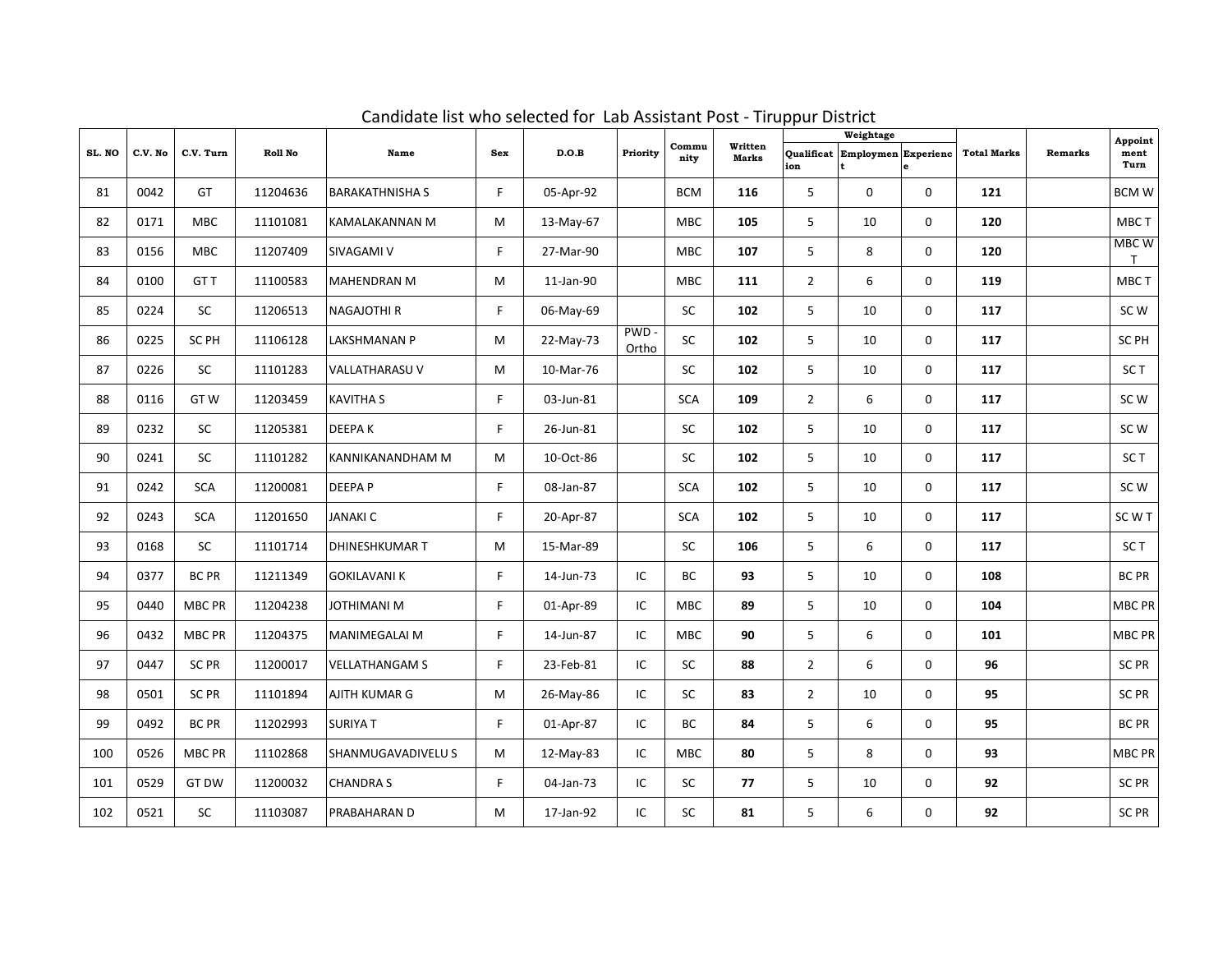|        |         |               |                |                         |            |           |                |               |                         | . .             | Weightage                      |                |                    |                | Appoint         |
|--------|---------|---------------|----------------|-------------------------|------------|-----------|----------------|---------------|-------------------------|-----------------|--------------------------------|----------------|--------------------|----------------|-----------------|
| SL. NO | C.V. No | C.V. Turn     | <b>Roll No</b> | <b>Name</b>             | <b>Sex</b> | D.O.B     | Priority       | Commu<br>nity | Written<br><b>Marks</b> | ion             | Qualificat Employmen Experienc |                | <b>Total Marks</b> | <b>Remarks</b> | ment<br>Turn    |
| 81     | 0042    | GT            | 11204636       | <b>BARAKATHNISHA S</b>  | F.         | 05-Apr-92 |                | <b>BCM</b>    | 116                     | 5 <sup>5</sup>  | $\overline{0}$                 | $\mathbf 0$    | 121                |                | <b>BCMW</b>     |
| 82     | 0171    | <b>MBC</b>    | 11101081       | <b>KAMALAKANNAN M</b>   | M          | 13-May-67 |                | <b>MBC</b>    | 105                     | 5 <sup>5</sup>  | 10                             | $\overline{0}$ | 120                |                | MBC T           |
| 83     | 0156    | <b>MBC</b>    | 11207409       | <b>SIVAGAMI V</b>       | F.         | 27-Mar-90 |                | <b>MBC</b>    | 107                     | 5 <sup>5</sup>  | 8                              | $\overline{0}$ | 120                |                | MBC W           |
| 84     | 0100    | GTT           | 11100583       | <b>MAHENDRAN M</b>      | M          | 11-Jan-90 |                | <b>MBC</b>    | 111                     | $\overline{2}$  | 6                              | $\mathbf 0$    | 119                |                | MBC T           |
| 85     | 0224    | SC            | 11206513       | <b>NAGAJOTHI R</b>      | F.         | 06-May-69 |                | SC            | 102                     | 5 <sup>5</sup>  | 10                             | $\overline{0}$ | 117                |                | SC W            |
| 86     | 0225    | <b>SC PH</b>  | 11106128       | LAKSHMANAN P            | M          | 22-May-73 | PWD -<br>Ortho | SC            | 102                     | 5 <sup>5</sup>  | 10                             | $\mathbf 0$    | 117                |                | <b>SC PH</b>    |
| 87     | 0226    | SC            | 11101283       | <b>VALLATHARASU V</b>   | M          | 10-Mar-76 |                | SC            | 102                     | 5 <sup>5</sup>  | 10                             | $\mathbf 0$    | 117                |                | SC <sub>T</sub> |
| 88     | 0116    | GTW           | 11203459       | <b>KAVITHA S</b>        | F.         | 03-Jun-81 |                | <b>SCA</b>    | 109                     | $\overline{2}$  | 6                              | $\mathbf{0}$   | 117                |                | SC W            |
| 89     | 0232    | <b>SC</b>     | 11205381       | <b>DEEPAK</b>           | F.         | 26-Jun-81 |                | SC            | 102                     | 5 <sup>1</sup>  | 10                             | $\overline{0}$ | 117                |                | SC W            |
| 90     | 0241    | SC            | 11101282       | <b>KANNIKANANDHAM M</b> | M          | 10-Oct-86 |                | SC            | 102                     | 5 <sup>1</sup>  | 10                             | $\mathbf 0$    | 117                |                | SC <sub>T</sub> |
| 91     | 0242    | <b>SCA</b>    | 11200081       | <b>DEEPAP</b>           | F.         | 08-Jan-87 |                | <b>SCA</b>    | 102                     | 5 <sup>1</sup>  | 10                             | $\overline{0}$ | 117                |                | SC W            |
| 92     | 0243    | <b>SCA</b>    | 11201650       | <b>JANAKI C</b>         | F.         | 20-Apr-87 |                | <b>SCA</b>    | 102                     | $5\overline{)}$ | 10                             | $\overline{0}$ | 117                |                | SCWT            |
| 93     | 0168    | SC            | 11101714       | <b>DHINESHKUMAR T</b>   | M          | 15-Mar-89 |                | SC            | 106                     | 5               | 6                              | $\overline{0}$ | 117                |                | SC <sub>T</sub> |
| 94     | 0377    | <b>BC PR</b>  | 11211349       | <b>GOKILAVANI K</b>     | F.         | 14-Jun-73 | IC             | <b>BC</b>     | 93                      | 5 <sup>5</sup>  | 10                             | $\overline{0}$ | 108                |                | <b>BC PR</b>    |
| 95     | 0440    | <b>MBC PR</b> | 11204238       | JOTHIMANI M             | F.         | 01-Apr-89 | IC             | <b>MBC</b>    | 89                      | 5 <sup>5</sup>  | 10                             | $\overline{0}$ | 104                |                | MBC PR          |
| 96     | 0432    | <b>MBC PR</b> | 11204375       | <b>MANIMEGALAI M</b>    | F.         | 14-Jun-87 | IC             | <b>MBC</b>    | 90                      | 5 <sup>5</sup>  | 6                              | $\overline{0}$ | 101                |                | MBC PR          |
| 97     | 0447    | <b>SC PR</b>  | 11200017       | <b>VELLATHANGAM S</b>   | F.         | 23-Feb-81 | IC             | <b>SC</b>     | 88                      | $\overline{2}$  | 6                              | $\overline{0}$ | 96                 |                | SC PR           |
| 98     | 0501    | <b>SC PR</b>  | 11101894       | <b>AJITH KUMAR G</b>    | M          | 26-May-86 | IC             | <b>SC</b>     | 83                      | $\overline{2}$  | 10                             | $\overline{0}$ | 95                 |                | SC PR           |
| 99     | 0492    | <b>BC PR</b>  | 11202993       | <b>SURIYAT</b>          | F.         | 01-Apr-87 | IC             | <b>BC</b>     | 84                      | $5\overline{)}$ | 6                              | $\overline{0}$ | 95                 |                | <b>BC PR</b>    |
| 100    | 0526    | <b>MBC PR</b> | 11102868       | SHANMUGAVADIVELU S      | M          | 12-May-83 | IC             | <b>MBC</b>    | 80                      | 5 <sup>5</sup>  | 8                              | $\mathbf 0$    | 93                 |                | MBC PR          |
| 101    | 0529    | <b>GT DW</b>  | 11200032       | <b>CHANDRAS</b>         | F.         | 04-Jan-73 | IC             | <b>SC</b>     | 77                      | 5 <sup>5</sup>  | 10                             | $\overline{0}$ | 92                 |                | SC PR           |
| 102    | 0521    | SC            | 11103087       | PRABAHARAN D            | M          | 17-Jan-92 | IC             | SC            | 81                      | 5 <sub>5</sub>  | 6                              | $\mathbf 0$    | 92                 |                | SC PR           |

Candidate list who selected for Lab Assistant Post - Tiruppur District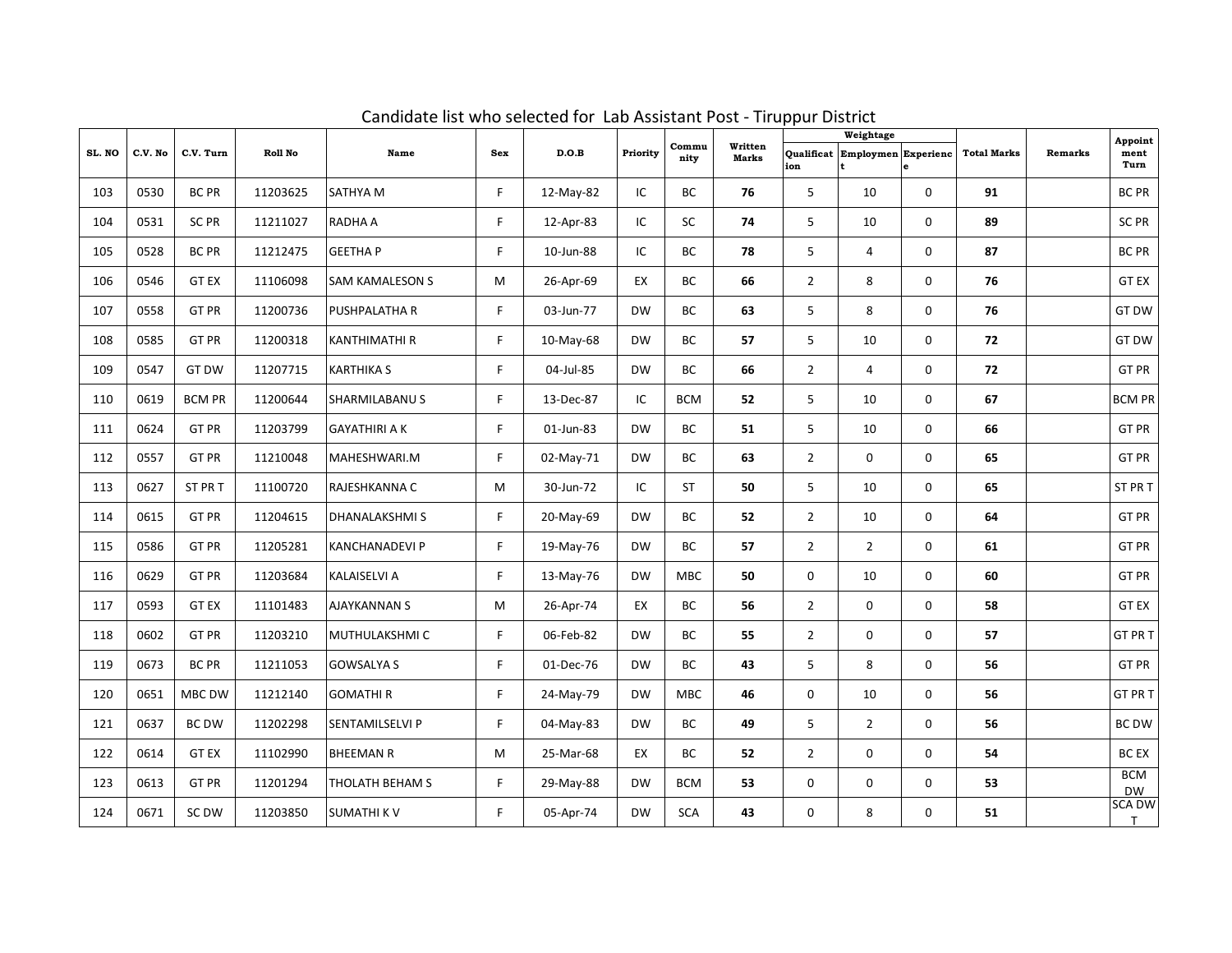|        |         |               |                |                        |              |           |           |               |                         | . .            | Weightage                      |                |                    |                | Appoint                 |
|--------|---------|---------------|----------------|------------------------|--------------|-----------|-----------|---------------|-------------------------|----------------|--------------------------------|----------------|--------------------|----------------|-------------------------|
| SL. NO | C.V. No | C.V. Turn     | <b>Roll No</b> | <b>Name</b>            | <b>Sex</b>   | D.O.B     | Priority  | Commu<br>nity | Written<br><b>Marks</b> | ion            | Qualificat Employmen Experienc |                | <b>Total Marks</b> | <b>Remarks</b> | ment<br>Turn            |
| 103    | 0530    | <b>BC PR</b>  | 11203625       | <b>SATHYA M</b>        | F.           | 12-May-82 | IC        | <b>BC</b>     | 76                      | 5 <sup>5</sup> | 10                             | $\overline{0}$ | 91                 |                | <b>BC PR</b>            |
| 104    | 0531    | <b>SC PR</b>  | 11211027       | RADHA A                | F.           | 12-Apr-83 | IC        | SC            | 74                      | 5 <sup>5</sup> | 10                             | $\overline{0}$ | 89                 |                | SC PR                   |
| 105    | 0528    | <b>BC PR</b>  | 11212475       | <b>GEETHAP</b>         | F.           | 10-Jun-88 | IC        | <b>BC</b>     | 78                      | 5 <sup>5</sup> | $\overline{4}$                 | $\overline{0}$ | 87                 |                | <b>BC PR</b>            |
| 106    | 0546    | <b>GT EX</b>  | 11106098       | <b>SAM KAMALESON S</b> | M            | 26-Apr-69 | EX        | <b>BC</b>     | 66                      | $\overline{2}$ | 8                              | $\mathbf 0$    | 76                 |                | <b>GT EX</b>            |
| 107    | 0558    | <b>GT PR</b>  | 11200736       | <b>PUSHPALATHA R</b>   | F.           | 03-Jun-77 | <b>DW</b> | <b>BC</b>     | 63                      | 5 <sup>5</sup> | 8                              | $\overline{0}$ | 76                 |                | GT DW                   |
| 108    | 0585    | <b>GT PR</b>  | 11200318       | <b>KANTHIMATHI R</b>   | F            | 10-May-68 | <b>DW</b> | <b>BC</b>     | 57                      | 5 <sup>5</sup> | 10                             | $\overline{0}$ | 72                 |                | GT DW                   |
| 109    | 0547    | <b>GT DW</b>  | 11207715       | <b>KARTHIKA S</b>      | F.           | 04-Jul-85 | <b>DW</b> | <b>BC</b>     | 66                      | $\overline{2}$ | 4                              | $\mathbf{0}$   | 72                 |                | <b>GT PR</b>            |
| 110    | 0619    | <b>BCM PR</b> | 11200644       | <b>SHARMILABANUS</b>   | F.           | 13-Dec-87 | IC        | <b>BCM</b>    | 52                      | 5 <sup>5</sup> | 10                             | $\mathbf{0}$   | 67                 |                | <b>BCM PR</b>           |
| 111    | 0624    | <b>GT PR</b>  | 11203799       | <b>GAYATHIRI A K</b>   | F            | 01-Jun-83 | <b>DW</b> | <b>BC</b>     | 51                      | 5 <sup>5</sup> | 10                             | $\overline{0}$ | 66                 |                | <b>GT PR</b>            |
| 112    | 0557    | <b>GT PR</b>  | 11210048       | MAHESHWARI.M           | F.           | 02-May-71 | <b>DW</b> | <b>BC</b>     | 63                      | $2^{\circ}$    | $\overline{0}$                 | $\mathbf 0$    | 65                 |                | <b>GT PR</b>            |
| 113    | 0627    | ST PR T       | 11100720       | RAJESHKANNA C          | M            | 30-Jun-72 | IC.       | <b>ST</b>     | 50                      | 5 <sup>5</sup> | 10                             | $\overline{0}$ | 65                 |                | $ST$ PR T               |
| 114    | 0615    | <b>GT PR</b>  | 11204615       | DHANALAKSHMI S         | F            | 20-May-69 | <b>DW</b> | <b>BC</b>     | 52                      | $\overline{2}$ | 10                             | $\overline{0}$ | 64                 |                | <b>GT PR</b>            |
| 115    | 0586    | <b>GT PR</b>  | 11205281       | KANCHANADEVI P         | $\sim$<br>H. | 19-May-76 | <b>DW</b> | <b>BC</b>     | 57                      | $\overline{2}$ |                                | $\overline{0}$ | 61                 |                | <b>GT PR</b>            |
| 116    | 0629    | <b>GT PR</b>  | 11203684       | <b>KALAISELVI A</b>    | F            | 13-May-76 | <b>DW</b> | <b>MBC</b>    | 50                      | $\mathbf 0$    | 10                             | $\mathbf 0$    | 60                 |                | <b>GT PR</b>            |
| 117    | 0593    | <b>GT EX</b>  | 11101483       | <b>AJAYKANNAN S</b>    | M            | 26-Apr-74 | EX        | <b>BC</b>     | 56                      | $2^{\circ}$    | $\mathbf 0$                    | $\mathbf 0$    | 58                 |                | <b>GT EX</b>            |
| 118    | 0602    | <b>GT PR</b>  | 11203210       | MUTHULAKSHMI C         | F.           | 06-Feb-82 | <b>DW</b> | <b>BC</b>     | 55                      | $\overline{2}$ | $\mathbf 0$                    | $\overline{0}$ | 57                 |                | GT PR T                 |
| 119    | 0673    | <b>BC PR</b>  | 11211053       | <b>GOWSALYA S</b>      | F.           | 01-Dec-76 | <b>DW</b> | <b>BC</b>     | 43                      | 5              | 8                              | $\mathbf 0$    | 56                 |                | <b>GT PR</b>            |
| 120    | 0651    | MBC DW        | 11212140       | <b>GOMATHIR</b>        | F.           | 24-May-79 | <b>DW</b> | <b>MBC</b>    | 46                      | $\overline{0}$ | 10                             | $\overline{0}$ | 56                 |                | GT PR T                 |
| 121    | 0637    | BC DW         | 11202298       | SENTAMILSELVI P        | F.           | 04-May-83 | <b>DW</b> | <b>BC</b>     | 49                      | 5 <sup>5</sup> | $2^{\circ}$                    | $\mathbf 0$    | 56                 |                | BC DW                   |
| 122    | 0614    | <b>GT EX</b>  | 11102990       | <b>BHEEMAN R</b>       | M            | 25-Mar-68 | EX        | <b>BC</b>     | 52                      | $\overline{2}$ | $\mathbf{0}$                   | $\mathbf 0$    | 54                 |                | BC EX                   |
| 123    | 0613    | <b>GT PR</b>  | 11201294       | <b>THOLATH BEHAM S</b> | F.           | 29-May-88 | <b>DW</b> | <b>BCM</b>    | 53                      | $\overline{0}$ | $\overline{0}$                 | $\overline{0}$ | 53                 |                | <b>BCM</b><br><b>DW</b> |
| 124    | 0671    | SC DW         | 11203850       | SUMATHI K V            | F.           | 05-Apr-74 | <b>DW</b> | <b>SCA</b>    | 43                      | $\mathbf 0$    | 8                              | $\mathbf{0}$   | 51                 |                | <b>SCA DW</b>           |

Candidate list who selected for Lab Assistant Post - Tiruppur District